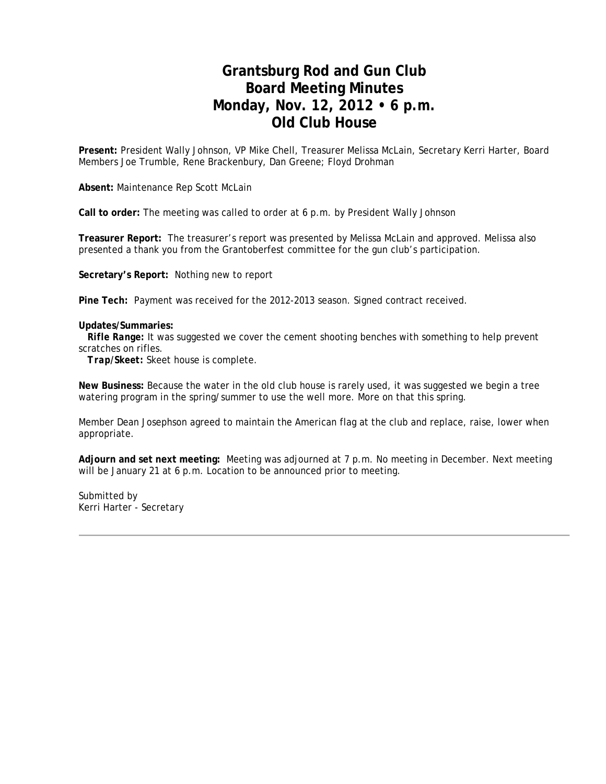## **Grantsburg Rod and Gun Club Board Meeting Minutes Monday, Nov. 12, 2012 • 6 p.m. Old Club House**

**Present:** President Wally Johnson, VP Mike Chell, Treasurer Melissa McLain, Secretary Kerri Harter, Board Members Joe Trumble, Rene Brackenbury, Dan Greene; Floyd Drohman

**Absent:** Maintenance Rep Scott McLain

**Call to order:** The meeting was called to order at 6 p.m. by President Wally Johnson

**Treasurer Report:** The treasurer's report was presented by Melissa McLain and approved. Melissa also presented a thank you from the Grantoberfest committee for the gun club's participation.

**Secretary's Report:** Nothing new to report

**Pine Tech:** Payment was received for the 2012-2013 season. Signed contract received.

#### **Updates/Summaries:**

*Rifle Range:* It was suggested we cover the cement shooting benches with something to help prevent scratches on rifles.

 *Trap/Skeet:* Skeet house is complete.

**New Business:** Because the water in the old club house is rarely used, it was suggested we begin a tree watering program in the spring/summer to use the well more. More on that this spring.

Member Dean Josephson agreed to maintain the American flag at the club and replace, raise, lower when appropriate.

**Adjourn and set next meeting:** Meeting was adjourned at 7 p.m. No meeting in December. Next meeting will be January 21 at 6 p.m. Location to be announced prior to meeting.

Submitted by Kerri Harter - Secretary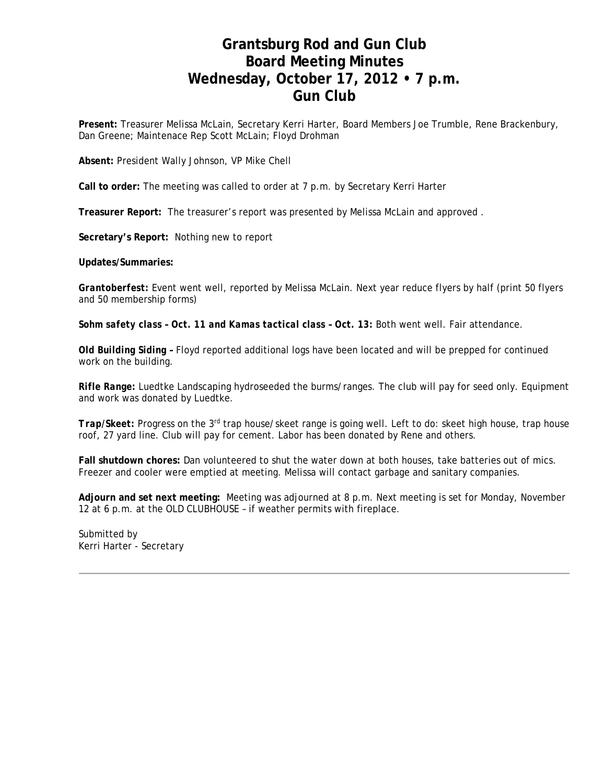## **Grantsburg Rod and Gun Club Board Meeting Minutes Wednesday, October 17, 2012 • 7 p.m. Gun Club**

**Present:** Treasurer Melissa McLain, Secretary Kerri Harter, Board Members Joe Trumble, Rene Brackenbury, Dan Greene; Maintenace Rep Scott McLain; Floyd Drohman

**Absent:** President Wally Johnson, VP Mike Chell

**Call to order:** The meeting was called to order at 7 p.m. by Secretary Kerri Harter

**Treasurer Report:** The treasurer's report was presented by Melissa McLain and approved .

**Secretary's Report:** Nothing new to report

**Updates/Summaries:**

*Grantoberfest:* Event went well, reported by Melissa McLain. Next year reduce flyers by half (print 50 flyers and 50 membership forms)

*Sohm safety class – Oct. 11 and Kamas tactical class – Oct. 13:* Both went well. Fair attendance.

*Old Building Siding –* Floyd reported additional logs have been located and will be prepped for continued work on the building.

*Rifle Range:* Luedtke Landscaping hydroseeded the burms/ranges. The club will pay for seed only. Equipment and work was donated by Luedtke.

*Trap/Skeet:* Progress on the 3rd trap house/skeet range is going well. Left to do: skeet high house, trap house roof, 27 yard line. Club will pay for cement. Labor has been donated by Rene and others.

**Fall shutdown chores:** Dan volunteered to shut the water down at both houses, take batteries out of mics. Freezer and cooler were emptied at meeting. Melissa will contact garbage and sanitary companies.

**Adjourn and set next meeting:** Meeting was adjourned at 8 p.m. Next meeting is set for Monday, November 12 at 6 p.m. at the OLD CLUBHOUSE – if weather permits with fireplace.

Submitted by Kerri Harter - Secretary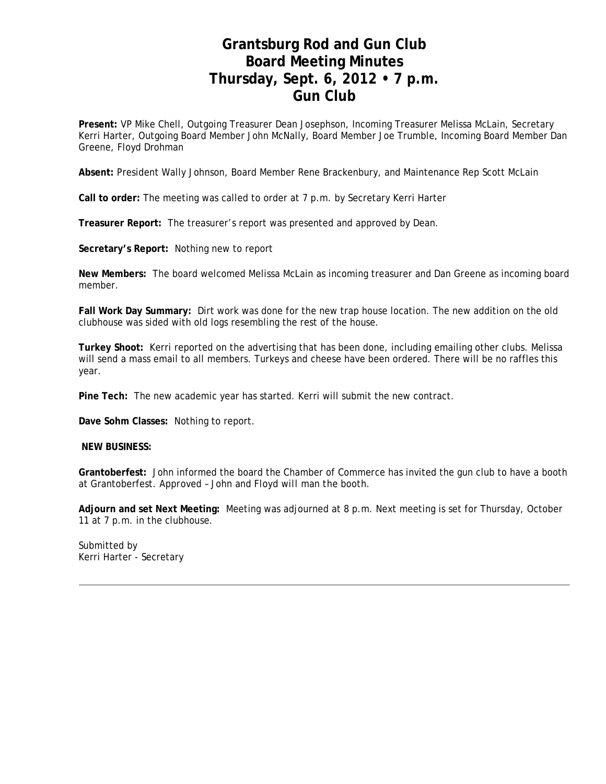## **Grantsburg Rod and Gun Club Board Meeting Minutes Thursday, Sept. 6, 2012 • 7 p.m. Gun Club**

**Present:** VP Mike Chell, Outgoing Treasurer Dean Josephson, Incoming Treasurer Melissa McLain, Secretary Kerri Harter, Outgoing Board Member John McNally, Board Member Joe Trumble, Incoming Board Member Dan Greene, Floyd Drohman

**Absent:** President Wally Johnson, Board Member Rene Brackenbury, and Maintenance Rep Scott McLain

**Call to order:** The meeting was called to order at 7 p.m. by Secretary Kerri Harter

**Treasurer Report:** The treasurer's report was presented and approved by Dean.

**Secretary's Report:** Nothing new to report

**New Members:** The board welcomed Melissa McLain as incoming treasurer and Dan Greene as incoming board member.

**Fall Work Day Summary:** Dirt work was done for the new trap house location. The new addition on the old clubhouse was sided with old logs resembling the rest of the house.

**Turkey Shoot:** Kerri reported on the advertising that has been done, including emailing other clubs. Melissa will send a mass email to all members. Turkeys and cheese have been ordered. There will be no raffles this year.

**Pine Tech:** The new academic year has started. Kerri will submit the new contract.

**Dave Sohm Classes:** Nothing to report.

**NEW BUSINESS:**

**Grantoberfest:** John informed the board the Chamber of Commerce has invited the gun club to have a booth at Grantoberfest. *Approved – John and Floyd will man the booth.*

**Adjourn and set Next Meeting:** Meeting was adjourned at 8 p.m. Next meeting is set for Thursday, October 11 at 7 p.m. in the clubhouse.

Submitted by Kerri Harter - Secretary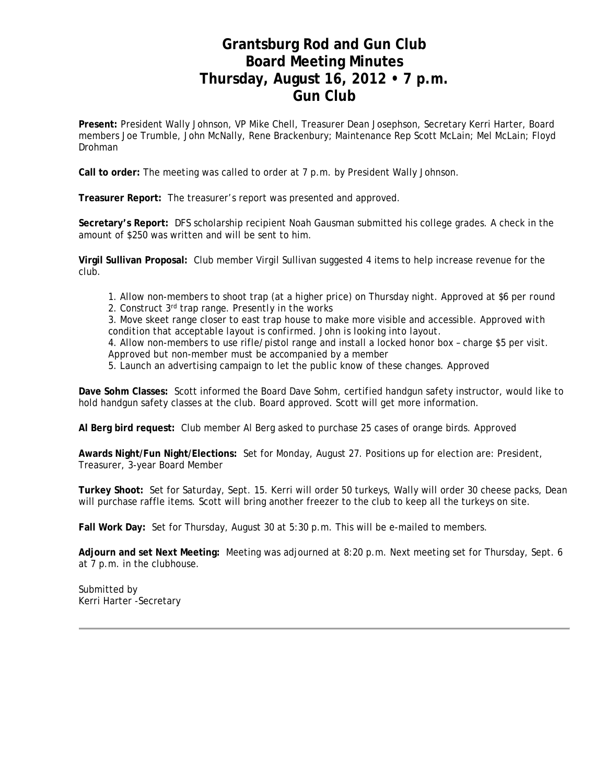## **Grantsburg Rod and Gun Club Board Meeting Minutes Thursday, August 16, 2012 • 7 p.m. Gun Club**

**Present:** President Wally Johnson, VP Mike Chell, Treasurer Dean Josephson, Secretary Kerri Harter, Board members Joe Trumble, John McNally, Rene Brackenbury; Maintenance Rep Scott McLain; Mel McLain; Floyd Drohman

**Call to order:** The meeting was called to order at 7 p.m. by President Wally Johnson.

**Treasurer Report:** The treasurer's report was presented and approved.

**Secretary's Report:** DFS scholarship recipient Noah Gausman submitted his college grades. A check in the amount of \$250 was written and will be sent to him.

**Virgil Sullivan Proposal:** Club member Virgil Sullivan suggested 4 items to help increase revenue for the club.

1. Allow non-members to shoot trap (at a higher price) on Thursday night. *Approved at \$6 per round*  2. Construct 3rd trap range. *Presently in the works* 

3. Move skeet range closer to east trap house to make more visible and accessible. *Approved with condition that acceptable layout is confirmed. John is looking into layout.*  4. Allow non-members to use rifle/pistol range and install a locked honor box – charge \$5 per visit. *Approved but non-member must be accompanied by a member* 

5. Launch an advertising campaign to let the public know of these changes. *Approved*

**Dave Sohm Classes:** Scott informed the Board Dave Sohm, certified handgun safety instructor, would like to hold handgun safety classes at the club. Board approved. Scott will get more information.

**Al Berg bird request:** Club member Al Berg asked to purchase 25 cases of orange birds. *Approved*

**Awards Night/Fun Night/Elections:** Set for Monday, August 27. Positions up for election are: President, Treasurer, 3-year Board Member

**Turkey Shoot:** Set for Saturday, Sept. 15. Kerri will order 50 turkeys, Wally will order 30 cheese packs, Dean will purchase raffle items. Scott will bring another freezer to the club to keep all the turkeys on site.

**Fall Work Day:** Set for Thursday, August 30 at 5:30 p.m. This will be e-mailed to members.

**Adjourn and set Next Meeting:** Meeting was adjourned at 8:20 p.m. Next meeting set for Thursday, Sept. 6 at 7 p.m. in the clubhouse.

Submitted by Kerri Harter -Secretary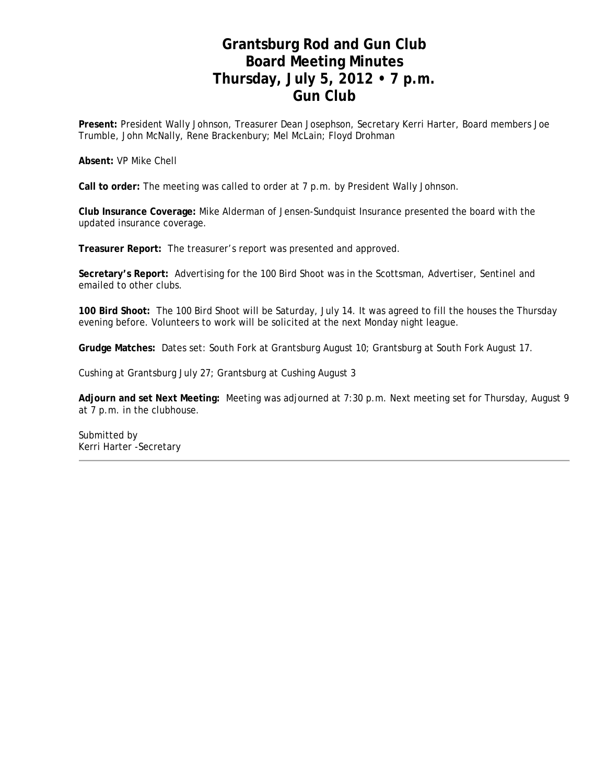## **Grantsburg Rod and Gun Club Board Meeting Minutes Thursday, July 5, 2012 • 7 p.m. Gun Club**

**Present:** President Wally Johnson, Treasurer Dean Josephson, Secretary Kerri Harter, Board members Joe Trumble, John McNally, Rene Brackenbury; Mel McLain; Floyd Drohman

**Absent:** VP Mike Chell

**Call to order:** The meeting was called to order at 7 p.m. by President Wally Johnson.

**Club Insurance Coverage:** Mike Alderman of Jensen-Sundquist Insurance presented the board with the updated insurance coverage.

**Treasurer Report:** The treasurer's report was presented and approved.

**Secretary's Report:** Advertising for the 100 Bird Shoot was in the Scottsman, Advertiser, Sentinel and emailed to other clubs.

**100 Bird Shoot:** The 100 Bird Shoot will be Saturday, July 14. It was agreed to fill the houses the Thursday evening before. Volunteers to work will be solicited at the next Monday night league.

**Grudge Matches:** Dates set: South Fork at Grantsburg August 10; Grantsburg at South Fork August 17.

Cushing at Grantsburg July 27; Grantsburg at Cushing August 3

**Adjourn and set Next Meeting:** Meeting was adjourned at 7:30 p.m. Next meeting set for Thursday, August 9 at 7 p.m. in the clubhouse.

Submitted by Kerri Harter -Secretary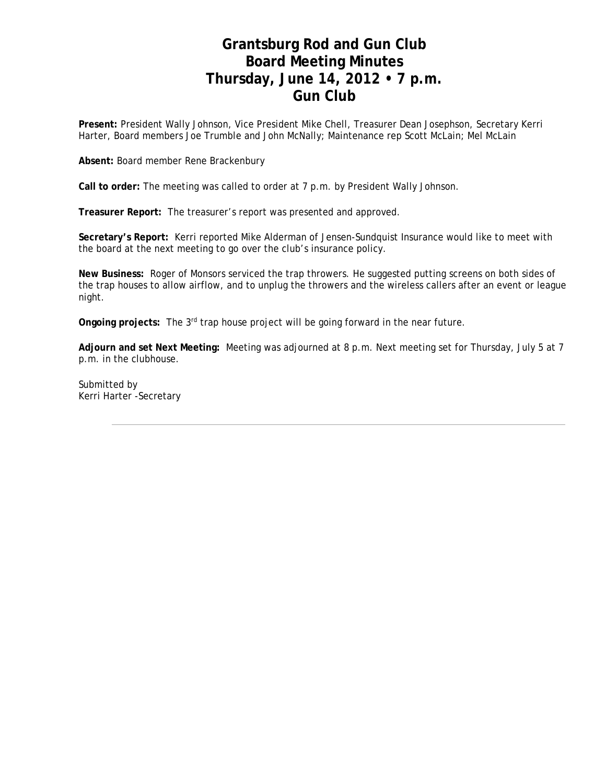## **Grantsburg Rod and Gun Club Board Meeting Minutes Thursday, June 14, 2012 • 7 p.m. Gun Club**

**Present:** President Wally Johnson, Vice President Mike Chell, Treasurer Dean Josephson, Secretary Kerri Harter, Board members Joe Trumble and John McNally; Maintenance rep Scott McLain; Mel McLain

**Absent:** Board member Rene Brackenbury

**Call to order:** The meeting was called to order at 7 p.m. by President Wally Johnson.

**Treasurer Report:** The treasurer's report was presented and approved.

**Secretary's Report:** Kerri reported Mike Alderman of Jensen-Sundquist Insurance would like to meet with the board at the next meeting to go over the club's insurance policy.

**New Business:** Roger of Monsors serviced the trap throwers. He suggested putting screens on both sides of the trap houses to allow airflow, and to unplug the throwers and the wireless callers after an event or league night.

**Ongoing projects:** The 3rd trap house project will be going forward in the near future.

**Adjourn and set Next Meeting:** Meeting was adjourned at 8 p.m. Next meeting set for Thursday, July 5 at 7 p.m. in the clubhouse.

Submitted by Kerri Harter -Secretary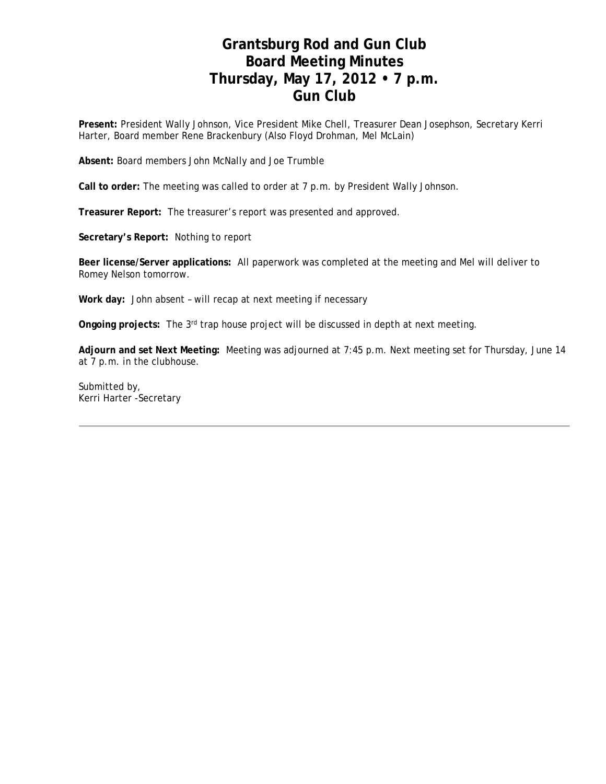# **Grantsburg Rod and Gun Club Board Meeting Minutes Thursday, May 17, 2012 • 7 p.m. Gun Club**

**Present:** President Wally Johnson, Vice President Mike Chell, Treasurer Dean Josephson, Secretary Kerri Harter, Board member Rene Brackenbury (Also Floyd Drohman, Mel McLain)

**Absent:** Board members John McNally and Joe Trumble

**Call to order:** The meeting was called to order at 7 p.m. by President Wally Johnson.

**Treasurer Report:** The treasurer's report was presented and approved.

**Secretary's Report:** Nothing to report

**Beer license/Server applications:** All paperwork was completed at the meeting and Mel will deliver to Romey Nelson tomorrow.

**Work day:** John absent – will recap at next meeting if necessary

**Ongoing projects:** The 3rd trap house project will be discussed in depth at next meeting.

**Adjourn and set Next Meeting:** Meeting was adjourned at 7:45 p.m. Next meeting set for Thursday, June 14 at 7 p.m. in the clubhouse.

Submitted by, Kerri Harter -Secretary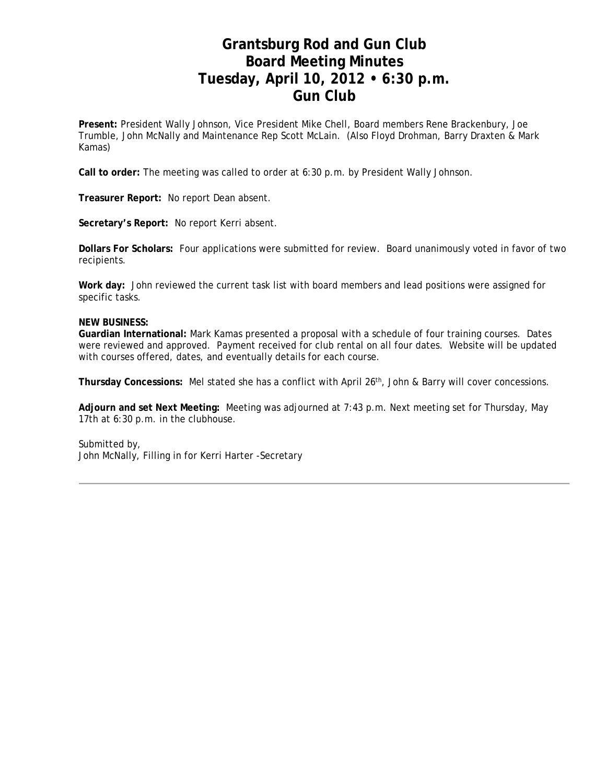## **Grantsburg Rod and Gun Club Board Meeting Minutes Tuesday, April 10, 2012 • 6:30 p.m. Gun Club**

**Present:** President Wally Johnson, Vice President Mike Chell, Board members Rene Brackenbury, Joe Trumble, John McNally and Maintenance Rep Scott McLain. (Also Floyd Drohman, Barry Draxten & Mark Kamas)

**Call to order:** The meeting was called to order at 6:30 p.m. by President Wally Johnson.

**Treasurer Report:** No report Dean absent.

**Secretary's Report:** No report Kerri absent.

**Dollars For Scholars:** Four applications were submitted for review. Board unanimously voted in favor of two recipients.

**Work day:** John reviewed the current task list with board members and lead positions were assigned for specific tasks.

#### **NEW BUSINESS:**

**Guardian International:** Mark Kamas presented a proposal with a schedule of four training courses. Dates were reviewed and approved. Payment received for club rental on all four dates. Website will be updated with courses offered, dates, and eventually details for each course.

**Thursday Concessions:** Mel stated she has a conflict with April 26th, John & Barry will cover concessions.

**Adjourn and set Next Meeting:** Meeting was adjourned at 7:43 p.m. Next meeting set for Thursday, May 17th at 6:30 p.m. in the clubhouse.

Submitted by, John McNally, Filling in for Kerri Harter -Secretary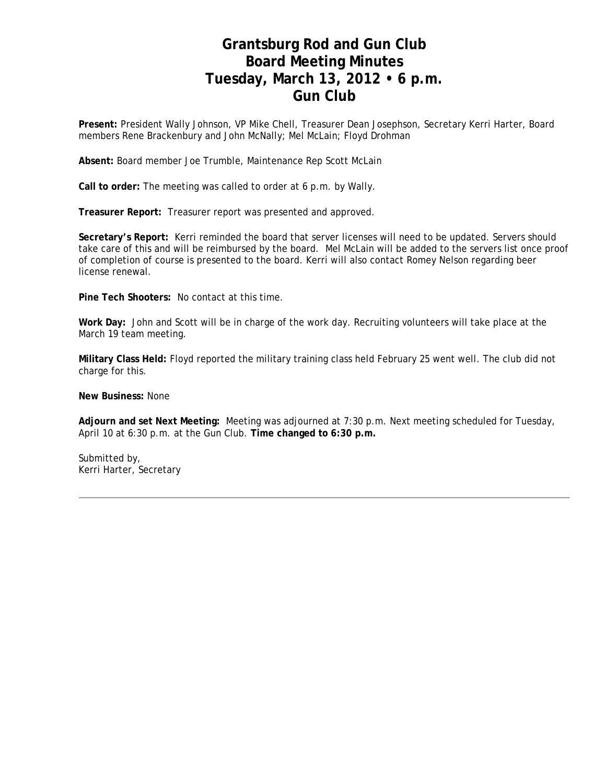### **Grantsburg Rod and Gun Club Board Meeting Minutes Tuesday, March 13, 2012 • 6 p.m. Gun Club**

**Present:** President Wally Johnson, VP Mike Chell, Treasurer Dean Josephson, Secretary Kerri Harter, Board members Rene Brackenbury and John McNally; Mel McLain; Floyd Drohman

**Absent:** Board member Joe Trumble, Maintenance Rep Scott McLain

**Call to order:** The meeting was called to order at 6 p.m. by Wally.

**Treasurer Report:** Treasurer report was presented and approved.

**Secretary's Report:** Kerri reminded the board that server licenses will need to be updated. Servers should take care of this and will be reimbursed by the board. Mel McLain will be added to the servers list once proof of completion of course is presented to the board. Kerri will also contact Romey Nelson regarding beer license renewal.

**Pine Tech Shooters:** No contact at this time.

**Work Day:** John and Scott will be in charge of the work day. Recruiting volunteers will take place at the March 19 team meeting.

**Military Class Held:** Floyd reported the military training class held February 25 went well. The club did not charge for this.

**New Business:** None

**Adjourn and set Next Meeting:** Meeting was adjourned at 7:30 p.m. Next meeting scheduled for Tuesday, April 10 at 6:30 p.m. at the Gun Club. **Time changed to 6:30 p.m.**

Submitted by, Kerri Harter, Secretary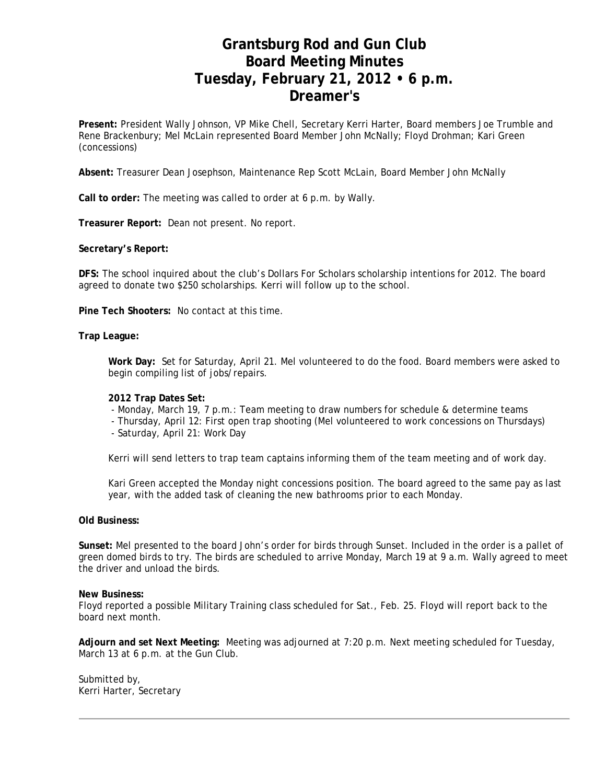## **Grantsburg Rod and Gun Club Board Meeting Minutes Tuesday, February 21, 2012 • 6 p.m. Dreamer's**

**Present:** President Wally Johnson, VP Mike Chell, Secretary Kerri Harter, Board members Joe Trumble and Rene Brackenbury; Mel McLain represented Board Member John McNally; Floyd Drohman; Kari Green (concessions)

**Absent:** Treasurer Dean Josephson, Maintenance Rep Scott McLain, Board Member John McNally

**Call to order:** The meeting was called to order at 6 p.m. by Wally.

**Treasurer Report:** Dean not present. No report.

**Secretary's Report:**

**DFS:** The school inquired about the club's Dollars For Scholars scholarship intentions for 2012. The board agreed to donate two \$250 scholarships. Kerri will follow up to the school.

**Pine Tech Shooters:** No contact at this time.

**Trap League:**

**Work Day:** Set for Saturday, April 21. Mel volunteered to do the food. Board members were asked to begin compiling list of jobs/repairs.

#### **2012 Trap Dates Set:**

- Monday, March 19, 7 p.m.: Team meeting to draw numbers for schedule & determine teams

- Thursday, April 12: First open trap shooting (Mel volunteered to work concessions on Thursdays)
- Saturday, April 21: Work Day

Kerri will send letters to trap team captains informing them of the team meeting and of work day.

Kari Green accepted the Monday night concessions position. The board agreed to the same pay as last year, with the added task of cleaning the new bathrooms prior to each Monday.

#### **Old Business:**

**Sunset:** Mel presented to the board John's order for birds through Sunset. Included in the order is a pallet of green domed birds to try. The birds are scheduled to arrive Monday, March 19 at 9 a.m. Wally agreed to meet the driver and unload the birds.

#### **New Business:**

Floyd reported a possible Military Training class scheduled for Sat., Feb. 25. Floyd will report back to the board next month.

**Adjourn and set Next Meeting:** Meeting was adjourned at 7:20 p.m. Next meeting scheduled for Tuesday, March 13 at 6 p.m. at the Gun Club.

Submitted by, Kerri Harter, Secretary